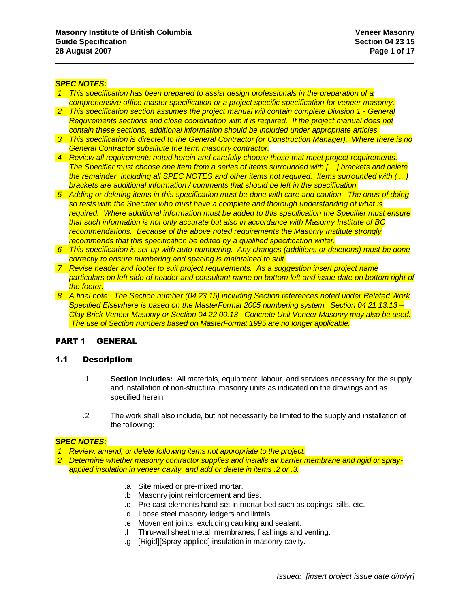### *SPEC NOTES:*

- *.1 This specification has been prepared to assist design professionals in the preparation of a comprehensive office master specification or a project specific specification for veneer masonry.*
- *.2 This specification section assumes the project manual will contain complete Division 1 - General Requirements sections and close coordination with it is required. If the project manual does not contain these sections, additional information should be included under appropriate articles.*
- *.3 This specification is directed to the General Contractor (or Construction Manager). Where there is no General Contractor substitute the term masonry contractor.*
- *.4 Review all requirements noted herein and carefully choose those that meet project requirements. The Specifier must choose one item from a series of items surrounded with [ .. ] brackets and delete the remainder, including all SPEC NOTES and other items not required. Items surrounded with ( .. ) brackets are additional information / comments that should be left in the specification.*
- *.5 Adding or deleting items in this specification must be done with care and caution. The onus of doing so rests with the Specifier who must have a complete and thorough understanding of what is required. Where additional information must be added to this specification the Specifier must ensure that such information is not only accurate but also in accordance with Masonry Institute of BC recommendations. Because of the above noted requirements the Masonry Institute strongly recommends that this specification be edited by a qualified specification writer.*
- *.6 This specification is set-up with auto-numbering. Any changes (additions or deletions) must be done correctly to ensure numbering and spacing is maintained to suit.*
- *.7 Revise header and footer to suit project requirements. As a suggestion insert project name particulars on left side of header and consultant name on bottom left and issue date on bottom right of the footer.*
- *.8 A final note: The Section number (04 23 15) including Section references noted under Related Work Specified Elsewhere is based on the MasterFormat 2005 numbering system. Section 04 21 13.13 – Clay Brick Veneer Masonry or Section 04 22 00.13 - Concrete Unit Veneer Masonry may also be used. The use of Section numbers based on MasterFormat 1995 are no longer applicable.*

## PART 1 GENERAL

## 1.1 Description:

- .1 **Section Includes:** All materials, equipment, labour, and services necessary for the supply and installation of non-structural masonry units as indicated on the drawings and as specified herein.
- .2 The work shall also include, but not necessarily be limited to the supply and installation of the following:

## *SPEC NOTES:*

- *.1 Review, amend, or delete following items not appropriate to the project.*
- *.2 Determine whether masonry contractor supplies and installs air barrier membrane and rigid or sprayapplied insulation in veneer cavity, and add or delete in items .2 or .3.*
	- .a Site mixed or pre-mixed mortar.
	- .b Masonry joint reinforcement and ties.
	- .c Pre-cast elements hand-set in mortar bed such as copings, sills, etc.
	- .d Loose steel masonry ledgers and lintels.
	- .e Movement joints, excluding caulking and sealant.
	- .f Thru-wall sheet metal, membranes, flashings and venting.
	- .g [Rigid][Spray-applied] insulation in masonry cavity.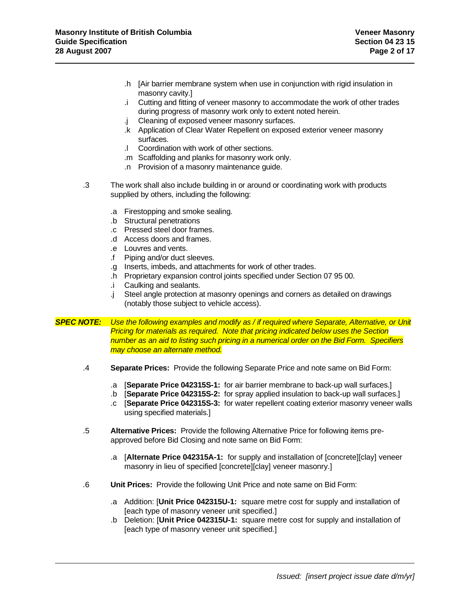- .h [Air barrier membrane system when use in conjunction with rigid insulation in masonry cavity.]
- .i Cutting and fitting of veneer masonry to accommodate the work of other trades during progress of masonry work only to extent noted herein.
- .j Cleaning of exposed veneer masonry surfaces.
- .k Application of Clear Water Repellent on exposed exterior veneer masonry surfaces.
- .l Coordination with work of other sections.
- .m Scaffolding and planks for masonry work only.
- .n Provision of a masonry maintenance guide.
- .3 The work shall also include building in or around or coordinating work with products supplied by others, including the following:
	- .a Firestopping and smoke sealing.
	- .b Structural penetrations
	- .c Pressed steel door frames.
	- .d Access doors and frames.
	- .e Louvres and vents.
	- .f Piping and/or duct sleeves.
	- .g Inserts, imbeds, and attachments for work of other trades.
	- .h Proprietary expansion control joints specified under Section 07 95 00.
	- .i Caulking and sealants.
	- .j Steel angle protection at masonry openings and corners as detailed on drawings (notably those subject to vehicle access).
- *SPEC NOTE: Use the following examples and modify as / if required where Separate, Alternative, or Unit Pricing for materials as required. Note that pricing indicated below uses the Section number as an aid to listing such pricing in a numerical order on the Bid Form. Specifiers may choose an alternate method.*
	- .4 **Separate Prices:** Provide the following Separate Price and note same on Bid Form:
		- .a [**Separate Price 042315S-1:** for air barrier membrane to back-up wall surfaces.]
		- .b [**Separate Price 042315S-2:** for spray applied insulation to back-up wall surfaces.]
		- .c [**Separate Price 042315S-3:** for water repellent coating exterior masonry veneer walls using specified materials.]
	- .5 **Alternative Prices:** Provide the following Alternative Price for following items preapproved before Bid Closing and note same on Bid Form:
		- .a [**Alternate Price 042315A-1:** for supply and installation of [concrete][clay] veneer masonry in lieu of specified [concrete][clay] veneer masonry.]
	- .6 **Unit Prices:** Provide the following Unit Price and note same on Bid Form:
		- .a Addition: [**Unit Price 042315U-1:** square metre cost for supply and installation of [each type of masonry veneer unit specified.]
		- .b Deletion: [**Unit Price 042315U-1:** square metre cost for supply and installation of [each type of masonry veneer unit specified.]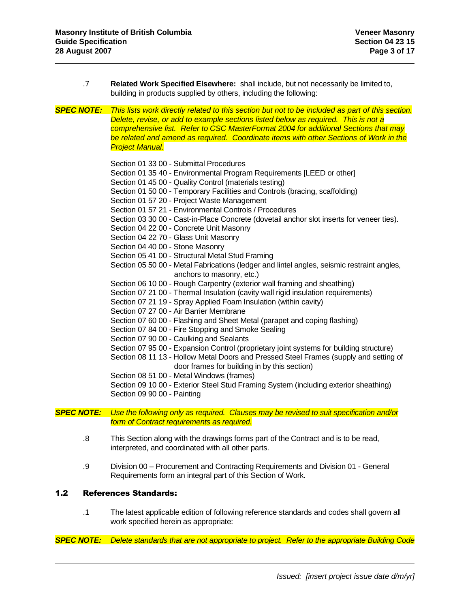| $.7\phantom{0}$   | Related Work Specified Elsewhere: shall include, but not necessarily be limited to,<br>building in products supplied by others, including the following:                                                                                                                                                                                                                                                                                                                                                                                                                                                                                                                                                                                                                                                                                                                                                                                                                                                                                                                                                                                                                                                                                                                                                                                                                                                                                                                                                                |
|-------------------|-------------------------------------------------------------------------------------------------------------------------------------------------------------------------------------------------------------------------------------------------------------------------------------------------------------------------------------------------------------------------------------------------------------------------------------------------------------------------------------------------------------------------------------------------------------------------------------------------------------------------------------------------------------------------------------------------------------------------------------------------------------------------------------------------------------------------------------------------------------------------------------------------------------------------------------------------------------------------------------------------------------------------------------------------------------------------------------------------------------------------------------------------------------------------------------------------------------------------------------------------------------------------------------------------------------------------------------------------------------------------------------------------------------------------------------------------------------------------------------------------------------------------|
| <b>SPEC NOTE:</b> | This lists work directly related to this section but not to be included as part of this section.<br>Delete, revise, or add to example sections listed below as required. This is not a<br>comprehensive list. Refer to CSC MasterFormat 2004 for additional Sections that may<br>be related and amend as required. Coordinate items with other Sections of Work in the<br><b>Project Manual.</b>                                                                                                                                                                                                                                                                                                                                                                                                                                                                                                                                                                                                                                                                                                                                                                                                                                                                                                                                                                                                                                                                                                                        |
|                   | Section 01 33 00 - Submittal Procedures<br>Section 01 35 40 - Environmental Program Requirements [LEED or other]<br>Section 01 45 00 - Quality Control (materials testing)<br>Section 01 50 00 - Temporary Facilities and Controls (bracing, scaffolding)<br>Section 01 57 20 - Project Waste Management<br>Section 01 57 21 - Environmental Controls / Procedures<br>Section 03 30 00 - Cast-in-Place Concrete (dovetail anchor slot inserts for veneer ties).<br>Section 04 22 00 - Concrete Unit Masonry<br>Section 04 22 70 - Glass Unit Masonry<br>Section 04 40 00 - Stone Masonry<br>Section 05 41 00 - Structural Metal Stud Framing<br>Section 05 50 00 - Metal Fabrications (ledger and lintel angles, seismic restraint angles,<br>anchors to masonry, etc.)<br>Section 06 10 00 - Rough Carpentry (exterior wall framing and sheathing)<br>Section 07 21 00 - Thermal Insulation (cavity wall rigid insulation requirements)<br>Section 07 21 19 - Spray Applied Foam Insulation (within cavity)<br>Section 07 27 00 - Air Barrier Membrane<br>Section 07 60 00 - Flashing and Sheet Metal (parapet and coping flashing)<br>Section 07 84 00 - Fire Stopping and Smoke Sealing<br>Section 07 90 00 - Caulking and Sealants<br>Section 07 95 00 - Expansion Control (proprietary joint systems for building structure)<br>Section 08 11 13 - Hollow Metal Doors and Pressed Steel Frames (supply and setting of<br>door frames for building in by this section)<br>Section 08 51 00 - Metal Windows (frames) |
|                   | Section 09 10 00 - Exterior Steel Stud Framing System (including exterior sheathing)<br>Section 09 90 00 - Painting                                                                                                                                                                                                                                                                                                                                                                                                                                                                                                                                                                                                                                                                                                                                                                                                                                                                                                                                                                                                                                                                                                                                                                                                                                                                                                                                                                                                     |

*SPEC NOTE: Use the following only as required. Clauses may be revised to suit specification and/or form of Contract requirements as required.*

- .8 This Section along with the drawings forms part of the Contract and is to be read, interpreted, and coordinated with all other parts.
- .9 Division 00 Procurement and Contracting Requirements and Division 01 General Requirements form an integral part of this Section of Work.

## 1.2 References Standards:

.1 The latest applicable edition of following reference standards and codes shall govern all work specified herein as appropriate:

*SPEC NOTE: Delete standards that are not appropriate to project. Refer to the appropriate Building Code*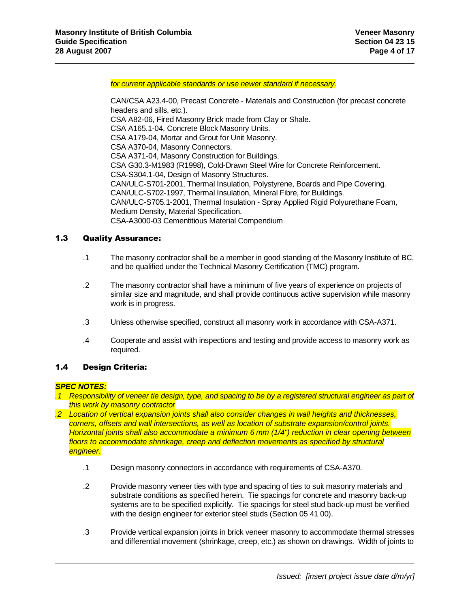*for current applicable standards or use newer standard if necessary.*

CAN/CSA A23.4-00, Precast Concrete - Materials and Construction (for precast concrete headers and sills, etc.). CSA A82-06, Fired Masonry Brick made from Clay or Shale. CSA A165.1-04, Concrete Block Masonry Units. CSA A179-04, Mortar and Grout for Unit Masonry. CSA A370-04, Masonry Connectors. CSA A371-04, Masonry Construction for Buildings. CSA G30.3-M1983 (R1998), Cold-Drawn Steel Wire for Concrete Reinforcement. CSA-S304.1-04, Design of Masonry Structures. CAN/ULC-S701-2001, Thermal Insulation, Polystyrene, Boards and Pipe Covering. CAN/ULC-S702-1997, Thermal Insulation, Mineral Fibre, for Buildings. CAN/ULC-S705.1-2001, Thermal Insulation - Spray Applied Rigid Polyurethane Foam, Medium Density, Material Specification. CSA-A3000-03 Cementitious Material Compendium

## 1.3 Quality Assurance:

- .1 The masonry contractor shall be a member in good standing of the Masonry Institute of BC, and be qualified under the Technical Masonry Certification (TMC) program.
- .2 The masonry contractor shall have a minimum of five years of experience on projects of similar size and magnitude, and shall provide continuous active supervision while masonry work is in progress.
- .3 Unless otherwise specified, construct all masonry work in accordance with CSA-A371.
- .4 Cooperate and assist with inspections and testing and provide access to masonry work as required.

## 1.4 Design Criteria:

### *SPEC NOTES:*

- *.1 Responsibility of veneer tie design, type, and spacing to be by a registered structural engineer as part of this work by masonry contractor*
- *.2 Location of vertical expansion joints shall also consider changes in wall heights and thicknesses, corners, offsets and wall intersections, as well as location of substrate expansion/control joints. Horizontal joints shall also accommodate a minimum 6 mm (1/4") reduction in clear opening between floors to accommodate shrinkage, creep and deflection movements as specified by structural engineer.*
	- .1 Design masonry connectors in accordance with requirements of CSA-A370.
	- .2 Provide masonry veneer ties with type and spacing of ties to suit masonry materials and substrate conditions as specified herein. Tie spacings for concrete and masonry back-up systems are to be specified explicitly. Tie spacings for steel stud back-up must be verified with the design engineer for exterior steel studs (Section 05 41 00).
	- .3 Provide vertical expansion joints in brick veneer masonry to accommodate thermal stresses and differential movement (shrinkage, creep, etc.) as shown on drawings. Width of joints to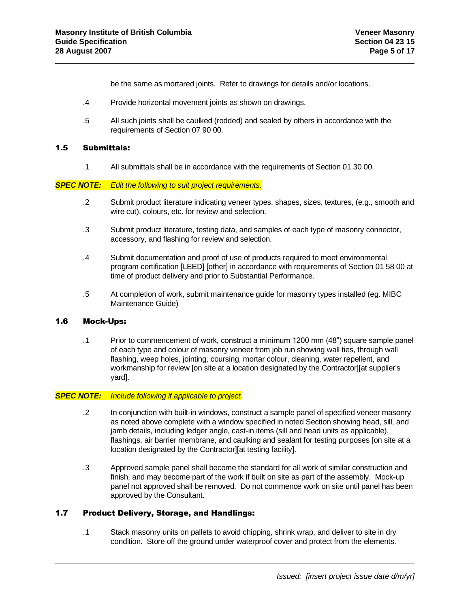be the same as mortared joints. Refer to drawings for details and/or locations.

- .4 Provide horizontal movement joints as shown on drawings.
- .5 All such joints shall be caulked (rodded) and sealed by others in accordance with the requirements of Section 07 90 00.

## 1.5 Submittals:

.1 All submittals shall be in accordance with the requirements of Section 01 30 00.

### *SPEC NOTE: Edit the following to suit project requirements.*

- .2 Submit product literature indicating veneer types, shapes, sizes, textures, (e.g., smooth and wire cut), colours, etc. for review and selection.
- .3 Submit product literature, testing data, and samples of each type of masonry connector, accessory, and flashing for review and selection.
- .4 Submit documentation and proof of use of products required to meet environmental program certification [LEED] [other] in accordance with requirements of Section 01 58 00 at time of product delivery and prior to Substantial Performance.
- .5 At completion of work, submit maintenance guide for masonry types installed (eg. MIBC Maintenance Guide)

## 1.6 Mock-Ups:

.1 Prior to commencement of work, construct a minimum 1200 mm (48") square sample panel of each type and colour of masonry veneer from job run showing wall ties, through wall flashing, weep holes, jointing, coursing, mortar colour, cleaning, water repellent, and workmanship for review [on site at a location designated by the Contractor][at supplier's yard].

### *SPEC NOTE: Include following if applicable to project.*

- .2 In conjunction with built-in windows, construct a sample panel of specified veneer masonry as noted above complete with a window specified in noted Section showing head, sill, and jamb details, including ledger angle, cast-in items (sill and head units as applicable), flashings, air barrier membrane, and caulking and sealant for testing purposes [on site at a location designated by the Contractor][at testing facility].
- .3 Approved sample panel shall become the standard for all work of similar construction and finish, and may become part of the work if built on site as part of the assembly. Mock-up panel not approved shall be removed. Do not commence work on site until panel has been approved by the Consultant.

## 1.7 Product Delivery, Storage, and Handlings:

.1 Stack masonry units on pallets to avoid chipping, shrink wrap, and deliver to site in dry condition. Store off the ground under waterproof cover and protect from the elements.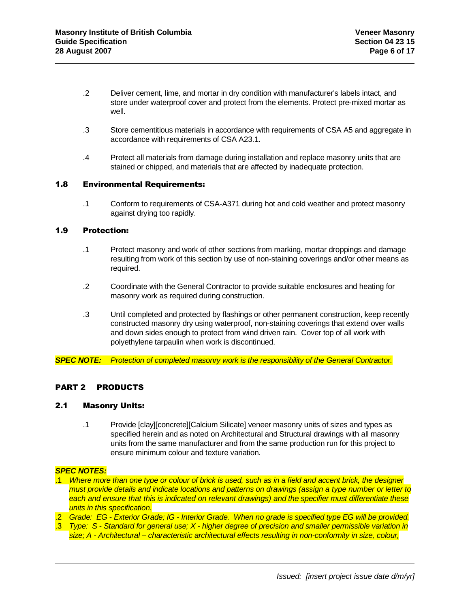- .2 Deliver cement, lime, and mortar in dry condition with manufacturer's labels intact, and store under waterproof cover and protect from the elements. Protect pre-mixed mortar as well.
- .3 Store cementitious materials in accordance with requirements of CSA A5 and aggregate in accordance with requirements of CSA A23.1.
- .4 Protect all materials from damage during installation and replace masonry units that are stained or chipped, and materials that are affected by inadequate protection.

### 1.8 Environmental Requirements:

.1 Conform to requirements of CSA-A371 during hot and cold weather and protect masonry against drying too rapidly.

## 1.9 Protection:

- .1 Protect masonry and work of other sections from marking, mortar droppings and damage resulting from work of this section by use of non-staining coverings and/or other means as required.
- .2 Coordinate with the General Contractor to provide suitable enclosures and heating for masonry work as required during construction.
- .3 Until completed and protected by flashings or other permanent construction, keep recently constructed masonry dry using waterproof, non-staining coverings that extend over walls and down sides enough to protect from wind driven rain. Cover top of all work with polyethylene tarpaulin when work is discontinued.

*SPEC NOTE: Protection of completed masonry work is the responsibility of the General Contractor.*

## PART 2 PRODUCTS

## 2.1 Masonry Units:

.1 Provide [clay][concrete][Calcium Silicate] veneer masonry units of sizes and types as specified herein and as noted on Architectural and Structural drawings with all masonry units from the same manufacturer and from the same production run for this project to ensure minimum colour and texture variation.

### *SPEC NOTES:*

- .1 *Where more than one type or colour of brick is used, such as in a field and accent brick, the designer must provide details and indicate locations and patterns on drawings (assign a type number or letter to each and ensure that this is indicated on relevant drawings) and the specifier must differentiate these units in this specification.*
- .2 *Grade: EG - Exterior Grade; IG - Interior Grade. When no grade is specified type EG will be provided.*
- .3 *Type: S - Standard for general use; X - higher degree of precision and smaller permissible variation in size; A - Architectural – characteristic architectural effects resulting in non-conformity in size, colour,*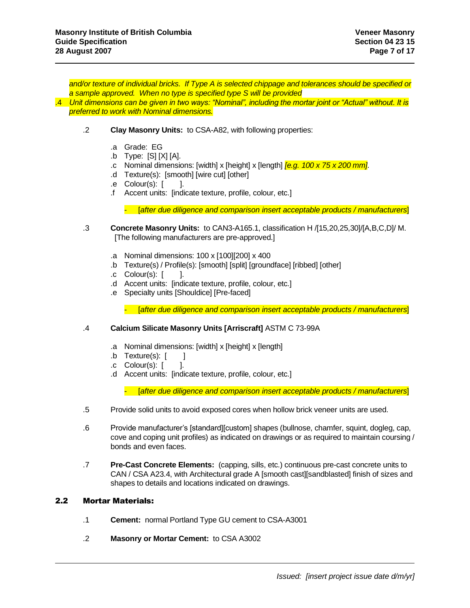*and/or texture of individual bricks. If Type A is selected chippage and tolerances should be specified or a sample approved. When no type is specified type S will be provided*

.4 *Unit dimensions can be given in two ways: "Nominal", including the mortar joint or "Actual" without. It is preferred to work with Nominal dimensions.*

- .2 **Clay Masonry Units:** to CSA-A82, with following properties:
	- .a Grade: EG
	- .b Type: [S] [X] [A].
	- .c Nominal dimensions: [width] x [height] x [length] *[e.g. 100 x 75 x 200 mm]*.
	- .d Texture(s): [smooth] [wire cut] [other]
	- $\cdot$  e Colour(s):  $\vert$  ].
	- .f Accent units: [indicate texture, profile, colour, etc.]

- [*after due diligence and comparison insert acceptable products / manufacturers*]

- .3 **Concrete Masonry Units:** to CAN3-A165.1, classification H /[15,20,25,30]/[A,B,C,D]/ M. [The following manufacturers are pre-approved.]
	- .a Nominal dimensions: 100 x [100][200] x 400
	- .b Texture(s) / Profile(s): [smooth] [split] [groundface] [ribbed] [other]
	- $\cdot$  Colour(s):  $\vert$  ].
	- .d Accent units: [indicate texture, profile, colour, etc.]
	- .e Specialty units [Shouldice] [Pre-faced]

- [*after due diligence and comparison insert acceptable products / manufacturers*]

### .4 **Calcium Silicate Masonry Units [Arriscraft]** ASTM C 73-99A

- .a Nominal dimensions: [width] x [height] x [length]
- $\blacksquare$   $\blacksquare$   $\blacksquare$   $\blacksquare$   $\blacksquare$   $\blacksquare$
- .c Colour(s): [ ].
- .d Accent units: [indicate texture, profile, colour, etc.]

- [*after due diligence and comparison insert acceptable products / manufacturers*]

- .5 Provide solid units to avoid exposed cores when hollow brick veneer units are used.
- .6 Provide manufacturer's [standard][custom] shapes (bullnose, chamfer, squint, dogleg, cap, cove and coping unit profiles) as indicated on drawings or as required to maintain coursing / bonds and even faces.
- .7 **Pre-Cast Concrete Elements:** (capping, sills, etc.) continuous pre-cast concrete units to CAN / CSA A23.4, with Architectural grade A [smooth cast][sandblasted] finish of sizes and shapes to details and locations indicated on drawings.

### 2.2 Mortar Materials:

- .1 **Cement:** normal Portland Type GU cement to CSA-A3001
- .2 **Masonry or Mortar Cement:** to CSA A3002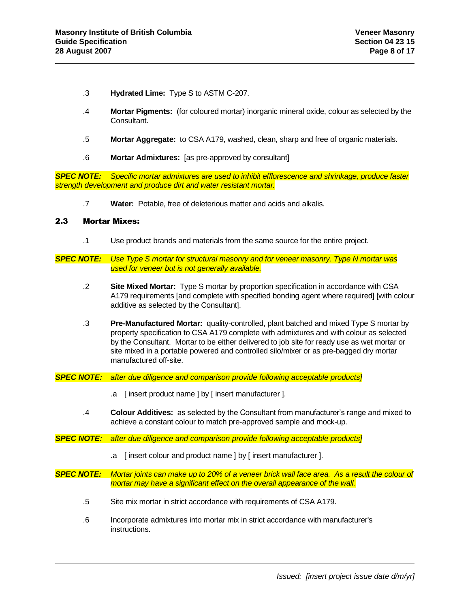- .3 **Hydrated Lime:** Type S to ASTM C-207.
- .4 **Mortar Pigments:** (for coloured mortar) inorganic mineral oxide, colour as selected by the Consultant.
- .5 **Mortar Aggregate:** to CSA A179, washed, clean, sharp and free of organic materials.
- .6 **Mortar Admixtures:** [as pre-approved by consultant]

*SPEC NOTE: Specific mortar admixtures are used to inhibit efflorescence and shrinkage, produce faster strength development and produce dirt and water resistant mortar.*

.7 **Water:** Potable, free of deleterious matter and acids and alkalis.

## 2.3 Mortar Mixes:

- .1 Use product brands and materials from the same source for the entire project.
- *SPEC NOTE: Use Type S mortar for structural masonry and for veneer masonry. Type N mortar was used for veneer but is not generally available.*
	- .2 **Site Mixed Mortar:** Type S mortar by proportion specification in accordance with CSA A179 requirements [and complete with specified bonding agent where required] [with colour additive as selected by the Consultant].
	- .3 **Pre-Manufactured Mortar:** quality-controlled, plant batched and mixed Type S mortar by property specification to CSA A179 complete with admixtures and with colour as selected by the Consultant. Mortar to be either delivered to job site for ready use as wet mortar or site mixed in a portable powered and controlled silo/mixer or as pre-bagged dry mortar manufactured off-site.
- *SPEC NOTE: after due diligence and comparison provide following acceptable products]*
	- .a [ insert product name ] by [ insert manufacturer ].
	- .4 **Colour Additives:** as selected by the Consultant from manufacturer's range and mixed to achieve a constant colour to match pre-approved sample and mock-up.
- *SPEC NOTE: after due diligence and comparison provide following acceptable products]*
	- .a [ insert colour and product name ] by [ insert manufacturer ].

*SPEC NOTE: Mortar joints can make up to 20% of a veneer brick wall face area. As a result the colour of mortar may have a significant effect on the overall appearance of the wall.*

- .5 Site mix mortar in strict accordance with requirements of CSA A179.
- .6 Incorporate admixtures into mortar mix in strict accordance with manufacturer's instructions.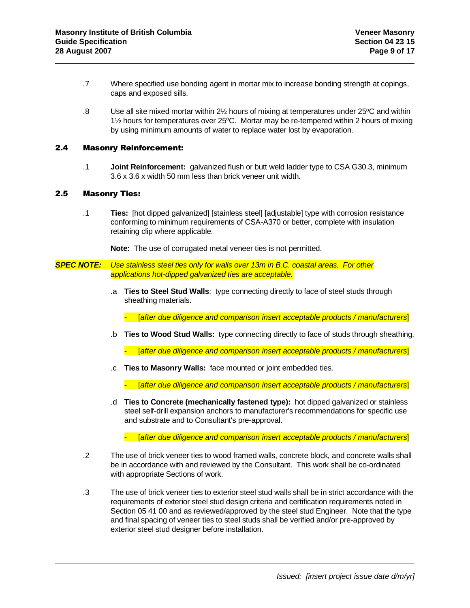- .7 Where specified use bonding agent in mortar mix to increase bonding strength at copings, caps and exposed sills.
- $.8$  Use all site mixed mortar within 2 $\frac{1}{2}$  hours of mixing at temperatures under 25 $\degree$ C and within  $1\frac{1}{2}$  hours for temperatures over 25 $\degree$ C. Mortar may be re-tempered within 2 hours of mixing by using minimum amounts of water to replace water lost by evaporation.

## 2.4 Masonry Reinforcement:

.1 **Joint Reinforcement:** galvanized flush or butt weld ladder type to CSA G30.3, minimum 3.6 x 3.6 x width 50 mm less than brick veneer unit width.

## 2.5 Masonry Ties:

.1 **Ties:** [hot dipped galvanized] [stainless steel] [adjustable] type with corrosion resistance conforming to minimum requirements of CSA-A370 or better, complete with insulation retaining clip where applicable.

**Note:** The use of corrugated metal veneer ties is not permitted.

*SPEC NOTE: Use stainless steel ties only for walls over 13m in B.C. coastal areas. For other applications hot-dipped galvanized ties are acceptable.*

> .a **Ties to Steel Stud Walls**: type connecting directly to face of steel studs through sheathing materials.

- [*after due diligence and comparison insert acceptable products / manufacturers*]

.b **Ties to Wood Stud Walls:** type connecting directly to face of studs through sheathing.

- [*after due diligence and comparison insert acceptable products / manufacturers*]

.c **Ties to Masonry Walls:** face mounted or joint embedded ties.

- [*after due diligence and comparison insert acceptable products / manufacturers*]

.d **Ties to Concrete (mechanically fastened type):** hot dipped galvanized or stainless steel self-drill expansion anchors to manufacturer's recommendations for specific use and substrate and to Consultant's pre-approval.

- [*after due diligence and comparison insert acceptable products / manufacturers*]

- .2 The use of brick veneer ties to wood framed walls, concrete block, and concrete walls shall be in accordance with and reviewed by the Consultant. This work shall be co-ordinated with appropriate Sections of work.
- .3 The use of brick veneer ties to exterior steel stud walls shall be in strict accordance with the requirements of exterior steel stud design criteria and certification requirements noted in Section 05 41 00 and as reviewed/approved by the steel stud Engineer. Note that the type and final spacing of veneer ties to steel studs shall be verified and/or pre-approved by exterior steel stud designer before installation.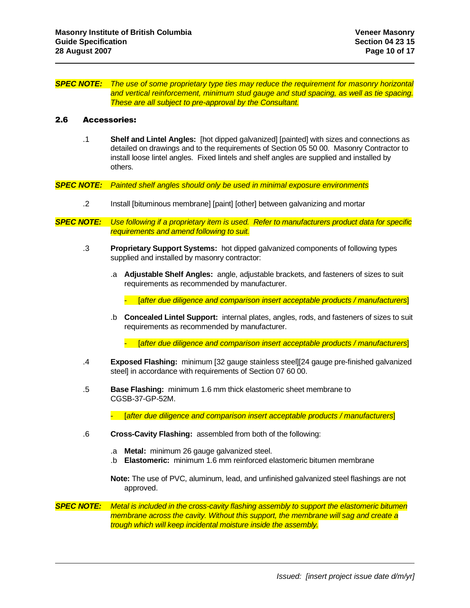#### *SPEC NOTE: The use of some proprietary type ties may reduce the requirement for masonry horizontal and vertical reinforcement, minimum stud gauge and stud spacing, as well as tie spacing. These are all subject to pre-approval by the Consultant.*

#### 2.6 Accessories:

.1 **Shelf and Lintel Angles:** [hot dipped galvanized] [painted] with sizes and connections as detailed on drawings and to the requirements of Section 05 50 00. Masonry Contractor to install loose lintel angles. Fixed lintels and shelf angles are supplied and installed by others.

*SPEC NOTE: Painted shelf angles should only be used in minimal exposure environments*

- .2 Install [bituminous membrane] [paint] [other] between galvanizing and mortar
- *SPEC NOTE: Use following if a proprietary item is used. Refer to manufacturers product data for specific requirements and amend following to suit.*
	- .3 **Proprietary Support Systems:** hot dipped galvanized components of following types supplied and installed by masonry contractor:
		- .a **Adjustable Shelf Angles:** angle, adjustable brackets, and fasteners of sizes to suit requirements as recommended by manufacturer.

- [*after due diligence and comparison insert acceptable products / manufacturers*]

.b **Concealed Lintel Support:** internal plates, angles, rods, and fasteners of sizes to suit requirements as recommended by manufacturer.

- [*after due diligence and comparison insert acceptable products / manufacturers*]

- .4 **Exposed Flashing:** minimum [32 gauge stainless steel][24 gauge pre-finished galvanized steel] in accordance with requirements of Section 07 60 00.
- .5 **Base Flashing:** minimum 1.6 mm thick elastomeric sheet membrane to CGSB-37-GP-52M.

- [*after due diligence and comparison insert acceptable products / manufacturers*]

- .6 **Cross-Cavity Flashing:** assembled from both of the following:
	- .a **Metal:** minimum 26 gauge galvanized steel.
	- .b **Elastomeric:** minimum 1.6 mm reinforced elastomeric bitumen membrane

**Note:** The use of PVC, aluminum, lead, and unfinished galvanized steel flashings are not approved.

*SPEC NOTE: Metal is included in the cross-cavity flashing assembly to support the elastomeric bitumen membrane across the cavity. Without this support, the membrane will sag and create a trough which will keep incidental moisture inside the assembly.*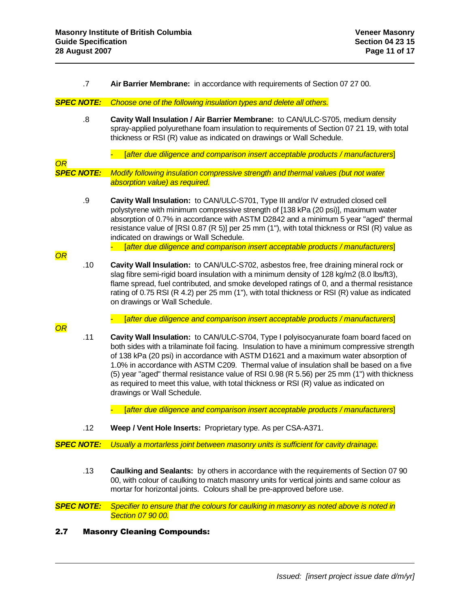.7 **Air Barrier Membrane:** in accordance with requirements of Section 07 27 00.

### *SPEC NOTE: Choose one of the following insulation types and delete all others.*

- .8 **Cavity Wall Insulation / Air Barrier Membrane:** to CAN/ULC-S705, medium density spray-applied polyurethane foam insulation to requirements of Section 07 21 19, with total thickness or RSI (R) value as indicated on drawings or Wall Schedule.
	- [*after due diligence and comparison insert acceptable products / manufacturers*]

*SPEC NOTE: Modify following insulation compressive strength and thermal values (but not water absorption value) as required.*

- .9 **Cavity Wall Insulation:** to CAN/ULC-S701, Type III and/or IV extruded closed cell polystyrene with minimum compressive strength of [138 kPa (20 psi)], maximum water absorption of 0.7% in accordance with ASTM D2842 and a minimum 5 year "aged" thermal resistance value of [RSI 0.87 (R 5)] per 25 mm (1"), with total thickness or RSI (R) value as indicated on drawings or Wall Schedule.
	- [*after due diligence and comparison insert acceptable products / manufacturers*]
- .10 **Cavity Wall Insulation:** to CAN/ULC-S702, asbestos free, free draining mineral rock or slag fibre semi-rigid board insulation with a minimum density of 128 kg/m2 (8.0 lbs/ft3), flame spread, fuel contributed, and smoke developed ratings of 0, and a thermal resistance rating of 0.75 RSI (R 4.2) per 25 mm (1"), with total thickness or RSI (R) value as indicated on drawings or Wall Schedule.
	- [*after due diligence and comparison insert acceptable products / manufacturers*]

*OR*

*OR*

*OR*

.11 **Cavity Wall Insulation:** to CAN/ULC-S704, Type I polyisocyanurate foam board faced on both sides with a trilaminate foil facing. Insulation to have a minimum compressive strength of 138 kPa (20 psi) in accordance with ASTM D1621 and a maximum water absorption of 1.0% in accordance with ASTM C209. Thermal value of insulation shall be based on a five (5) year "aged" thermal resistance value of RSI 0.98 (R 5.56) per 25 mm (1") with thickness as required to meet this value, with total thickness or RSI (R) value as indicated on drawings or Wall Schedule.

- [*after due diligence and comparison insert acceptable products / manufacturers*]

.12 **Weep / Vent Hole Inserts:** Proprietary type. As per CSA-A371.

*SPEC NOTE: Usually a mortarless joint between masonry units is sufficient for cavity drainage.*

.13 **Caulking and Sealants:** by others in accordance with the requirements of Section 07 90 00, with colour of caulking to match masonry units for vertical joints and same colour as mortar for horizontal joints. Colours shall be pre-approved before use.

*SPEC NOTE: Specifier to ensure that the colours for caulking in masonry as noted above is noted in Section 07 90 00.*

2.7 Masonry Cleaning Compounds: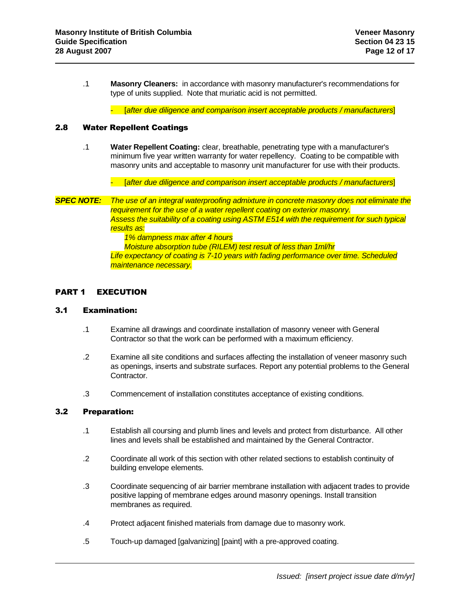.1 **Masonry Cleaners:** in accordance with masonry manufacturer's recommendations for type of units supplied. Note that muriatic acid is not permitted.

- [*after due diligence and comparison insert acceptable products / manufacturers*]

### 2.8 Water Repellent Coatings

.1 **Water Repellent Coating:** clear, breathable, penetrating type with a manufacturer's minimum five year written warranty for water repellency. Coating to be compatible with masonry units and acceptable to masonry unit manufacturer for use with their products.

- [*after due diligence and comparison insert acceptable products / manufacturers*]

*SPEC NOTE: The use of an integral waterproofing admixture in concrete masonry does not eliminate the requirement for the use of a water repellent coating on exterior masonry. Assess the suitability of a coating using ASTM E514 with the requirement for such typical results as:*

*1% dampness max after 4 hours Moisture absorption tube (RILEM) test result of less than 1ml/hr Life expectancy of coating is 7-10 years with fading performance over time. Scheduled maintenance necessary.*

## PART 1 EXECUTION

### 3.1 Examination:

- .1 Examine all drawings and coordinate installation of masonry veneer with General Contractor so that the work can be performed with a maximum efficiency.
- .2 Examine all site conditions and surfaces affecting the installation of veneer masonry such as openings, inserts and substrate surfaces. Report any potential problems to the General Contractor.
- .3 Commencement of installation constitutes acceptance of existing conditions.

### 3.2 Preparation:

- .1 Establish all coursing and plumb lines and levels and protect from disturbance. All other lines and levels shall be established and maintained by the General Contractor.
- .2 Coordinate all work of this section with other related sections to establish continuity of building envelope elements.
- .3 Coordinate sequencing of air barrier membrane installation with adjacent trades to provide positive lapping of membrane edges around masonry openings. Install transition membranes as required.
- .4 Protect adjacent finished materials from damage due to masonry work.
- .5 Touch-up damaged [galvanizing] [paint] with a pre-approved coating.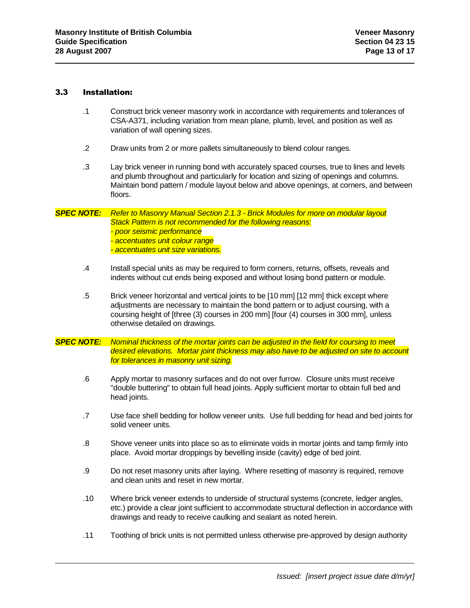## 3.3 Installation:

- .1 Construct brick veneer masonry work in accordance with requirements and tolerances of CSA-A371, including variation from mean plane, plumb, level, and position as well as variation of wall opening sizes.
- .2 Draw units from 2 or more pallets simultaneously to blend colour ranges.
- .3 Lay brick veneer in running bond with accurately spaced courses, true to lines and levels and plumb throughout and particularly for location and sizing of openings and columns. Maintain bond pattern / module layout below and above openings, at corners, and between floors.

### *SPEC NOTE: Refer to Masonry Manual Section 2.1.3 - Brick Modules for more on modular layout Stack Pattern is not recommended for the following reasons: - poor seismic performance - accentuates unit colour range - accentuates unit size variations.*

- .4 Install special units as may be required to form corners, returns, offsets, reveals and indents without cut ends being exposed and without losing bond pattern or module.
- .5 Brick veneer horizontal and vertical joints to be [10 mm] [12 mm] thick except where adjustments are necessary to maintain the bond pattern or to adjust coursing, with a coursing height of [three (3) courses in 200 mm] [four (4) courses in 300 mm], unless otherwise detailed on drawings.
- *SPEC NOTE: Nominal thickness of the mortar joints can be adjusted in the field for coursing to meet desired elevations. Mortar joint thickness may also have to be adjusted on site to account for tolerances in masonry unit sizing.*
	- .6 Apply mortar to masonry surfaces and do not over furrow. Closure units must receive "double buttering" to obtain full head joints. Apply sufficient mortar to obtain full bed and head joints.
	- .7 Use face shell bedding for hollow veneer units. Use full bedding for head and bed joints for solid veneer units.
	- .8 Shove veneer units into place so as to eliminate voids in mortar joints and tamp firmly into place. Avoid mortar droppings by bevelling inside (cavity) edge of bed joint.
	- .9 Do not reset masonry units after laying. Where resetting of masonry is required, remove and clean units and reset in new mortar.
	- .10 Where brick veneer extends to underside of structural systems (concrete, ledger angles, etc.) provide a clear joint sufficient to accommodate structural deflection in accordance with drawings and ready to receive caulking and sealant as noted herein.
	- .11 Toothing of brick units is not permitted unless otherwise pre-approved by design authority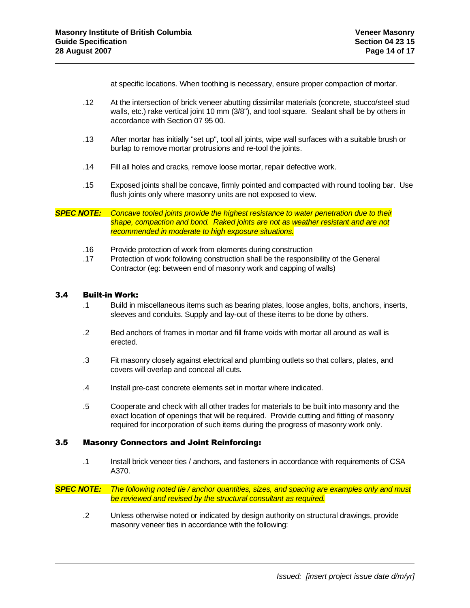at specific locations. When toothing is necessary, ensure proper compaction of mortar.

- .12 At the intersection of brick veneer abutting dissimilar materials (concrete, stucco/steel stud walls, etc.) rake vertical joint 10 mm (3/8"), and tool square. Sealant shall be by others in accordance with Section 07 95 00.
- .13 After mortar has initially "set up", tool all joints, wipe wall surfaces with a suitable brush or burlap to remove mortar protrusions and re-tool the joints.
- .14 Fill all holes and cracks, remove loose mortar, repair defective work.
- .15 Exposed joints shall be concave, firmly pointed and compacted with round tooling bar. Use flush joints only where masonry units are not exposed to view.

## *SPEC NOTE: Concave tooled joints provide the highest resistance to water penetration due to their shape, compaction and bond. Raked joints are not as weather resistant and are not recommended in moderate to high exposure situations.*

- .16 Provide protection of work from elements during construction
- .17 Protection of work following construction shall be the responsibility of the General Contractor (eg: between end of masonry work and capping of walls)

### 3.4 Built-in Work:

- .1 Build in miscellaneous items such as bearing plates, loose angles, bolts, anchors, inserts, sleeves and conduits. Supply and lay-out of these items to be done by others.
- .2 Bed anchors of frames in mortar and fill frame voids with mortar all around as wall is erected.
- .3 Fit masonry closely against electrical and plumbing outlets so that collars, plates, and covers will overlap and conceal all cuts.
- .4 Install pre-cast concrete elements set in mortar where indicated.
- .5 Cooperate and check with all other trades for materials to be built into masonry and the exact location of openings that will be required. Provide cutting and fitting of masonry required for incorporation of such items during the progress of masonry work only.

## 3.5 Masonry Connectors and Joint Reinforcing:

.1 Install brick veneer ties / anchors, and fasteners in accordance with requirements of CSA A370.

*SPEC NOTE: The following noted tie / anchor quantities, sizes, and spacing are examples only and must be reviewed and revised by the structural consultant as required.*

.2 Unless otherwise noted or indicated by design authority on structural drawings, provide masonry veneer ties in accordance with the following: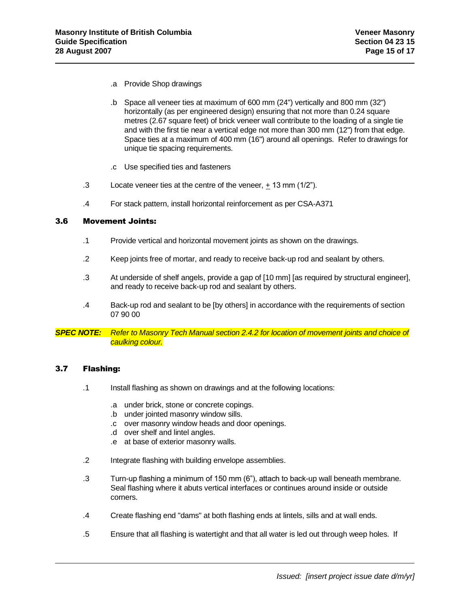- .a Provide Shop drawings
- .b Space all veneer ties at maximum of 600 mm (24") vertically and 800 mm (32") horizontally (as per engineered design) ensuring that not more than 0.24 square metres (2.67 square feet) of brick veneer wall contribute to the loading of a single tie and with the first tie near a vertical edge not more than 300 mm (12") from that edge. Space ties at a maximum of 400 mm (16") around all openings. Refer to drawings for unique tie spacing requirements.
- .c Use specified ties and fasteners
- .3 Locate veneer ties at the centre of the veneer, + 13 mm (1/2").
- .4 For stack pattern, install horizontal reinforcement as per CSA-A371

## 3.6 Movement Joints:

- .1 Provide vertical and horizontal movement joints as shown on the drawings.
- .2 Keep joints free of mortar, and ready to receive back-up rod and sealant by others.
- .3 At underside of shelf angels, provide a gap of [10 mm] [as required by structural engineer], and ready to receive back-up rod and sealant by others.
- .4 Back-up rod and sealant to be [by others] in accordance with the requirements of section 07 90 00

*SPEC NOTE: Refer to Masonry Tech Manual section 2.4.2 for location of movement joints and choice of caulking colour.*

### 3.7 Flashing:

- .1 Install flashing as shown on drawings and at the following locations:
	- .a under brick, stone or concrete copings.
	- .b under jointed masonry window sills.
	- .c over masonry window heads and door openings.
	- .d over shelf and lintel angles.
	- .e at base of exterior masonry walls.
- .2 Integrate flashing with building envelope assemblies.
- .3 Turn-up flashing a minimum of 150 mm (6"), attach to back-up wall beneath membrane. Seal flashing where it abuts vertical interfaces or continues around inside or outside corners.
- .4 Create flashing end "dams" at both flashing ends at lintels, sills and at wall ends.
- .5 Ensure that all flashing is watertight and that all water is led out through weep holes. If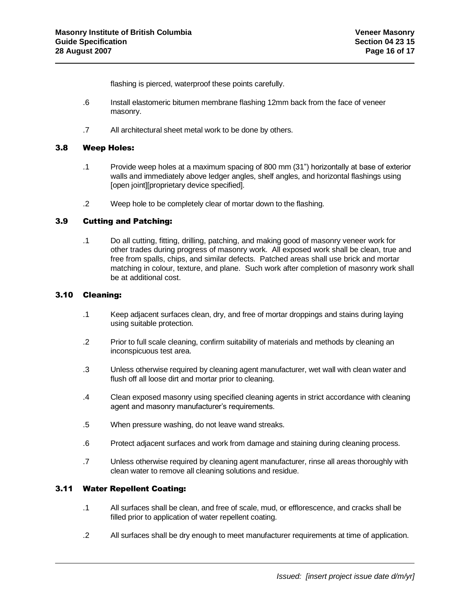flashing is pierced, waterproof these points carefully.

- .6 Install elastomeric bitumen membrane flashing 12mm back from the face of veneer masonry.
- .7 All architectural sheet metal work to be done by others.

## 3.8 Weep Holes:

- .1 Provide weep holes at a maximum spacing of 800 mm (31") horizontally at base of exterior walls and immediately above ledger angles, shelf angles, and horizontal flashings using [open joint][proprietary device specified].
- .2 Weep hole to be completely clear of mortar down to the flashing.

## 3.9 Cutting and Patching:

.1 Do all cutting, fitting, drilling, patching, and making good of masonry veneer work for other trades during progress of masonry work. All exposed work shall be clean, true and free from spalls, chips, and similar defects. Patched areas shall use brick and mortar matching in colour, texture, and plane. Such work after completion of masonry work shall be at additional cost.

## 3.10 Cleaning:

- .1 Keep adjacent surfaces clean, dry, and free of mortar droppings and stains during laying using suitable protection.
- .2 Prior to full scale cleaning, confirm suitability of materials and methods by cleaning an inconspicuous test area.
- .3 Unless otherwise required by cleaning agent manufacturer, wet wall with clean water and flush off all loose dirt and mortar prior to cleaning.
- .4 Clean exposed masonry using specified cleaning agents in strict accordance with cleaning agent and masonry manufacturer's requirements.
- .5 When pressure washing, do not leave wand streaks.
- .6 Protect adjacent surfaces and work from damage and staining during cleaning process.
- .7 Unless otherwise required by cleaning agent manufacturer, rinse all areas thoroughly with clean water to remove all cleaning solutions and residue.

## 3.11 Water Repellent Coating:

- .1 All surfaces shall be clean, and free of scale, mud, or efflorescence, and cracks shall be filled prior to application of water repellent coating.
- .2 All surfaces shall be dry enough to meet manufacturer requirements at time of application.